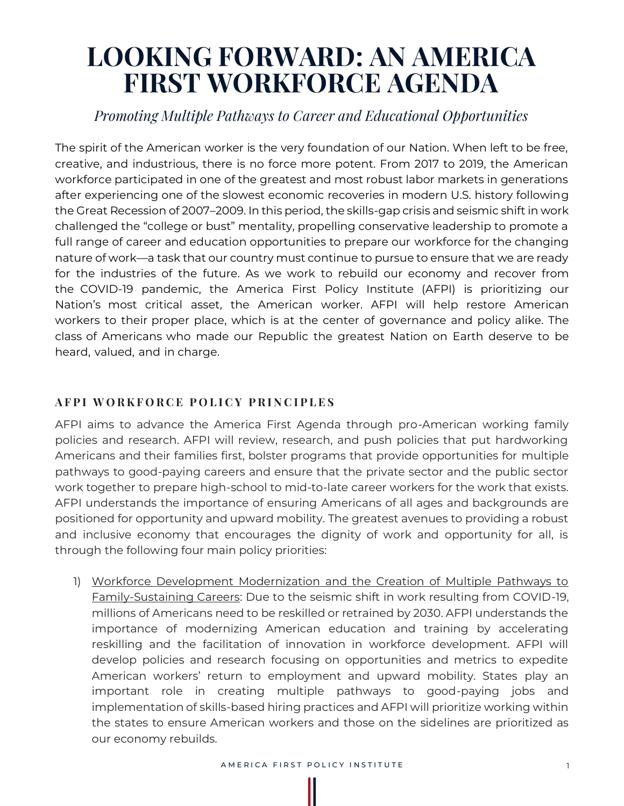## **LOOKING FORWARD: AN AMERICA FIRST WORKFORCE AGENDA**

## *Promoting Multiple Pathways to Career and Educational Opportunities*

The spirit of the American worker is the very foundation of our Nation. When left to be free, creative, and industrious, there is no force more potent. From 2017 to 2019, the American workforce participated in one of the greatest and most robust labor markets in generations after experiencing one of the slowest economic recoveries in modern U.S. history following the Great Recession of 2007–2009. In this period, the skills-gap crisis and seismic shift in work challenged the "college or bust" mentality, propelling conservative leadership to promote a full range of career and education opportunities to prepare our workforce for the changing nature of work—a task that our country must continue to pursue to ensure that we are ready for the industries of the future. As we work to rebuild our economy and recover from the COVID-19 pandemic, the America First Policy Institute (AFPI) is prioritizing our Nation's most critical asset, the American worker. AFPI will help restore American workers to their proper place, which is at the center of governance and policy alike. The class of Americans who made our Republic the greatest Nation on Earth deserve to be heard, valued, and in charge.

## **AFPI WORKFORCE POLICY PRINCIPLES**

AFPI aims to advance the America First Agenda through pro-American working family policies and research. AFPI will review, research, and push policies that put hardworking Americans and their families first, bolster programs that provide opportunities for multiple pathways to good-paying careers and ensure that the private sector and the public sector work together to prepare high-school to mid-to-late career workers for the work that exists. AFPI understands the importance of ensuring Americans of all ages and backgrounds are positioned for opportunity and upward mobility. The greatest avenues to providing a robust and inclusive economy that encourages the dignity of work and opportunity for all, is through the following four main policy priorities:

1) Workforce Development Modernization and the Creation of Multiple Pathways to Family-Sustaining Careers: Due to the seismic shift in work resulting from COVID-19, millions of Americans need to be reskilled or retrained by 2030. AFPI understands the importance of modernizing American education and training by accelerating reskilling and the facilitation of innovation in workforce development. AFPI will develop policies and research focusing on opportunities and metrics to expedite American workers' return to employment and upward mobility. States play an important role in creating multiple pathways to good-paying jobs and implementation of skills-based hiring practices and AFPI will prioritize working within the states to ensure American workers and those on the sidelines are prioritized as our economy rebuilds.